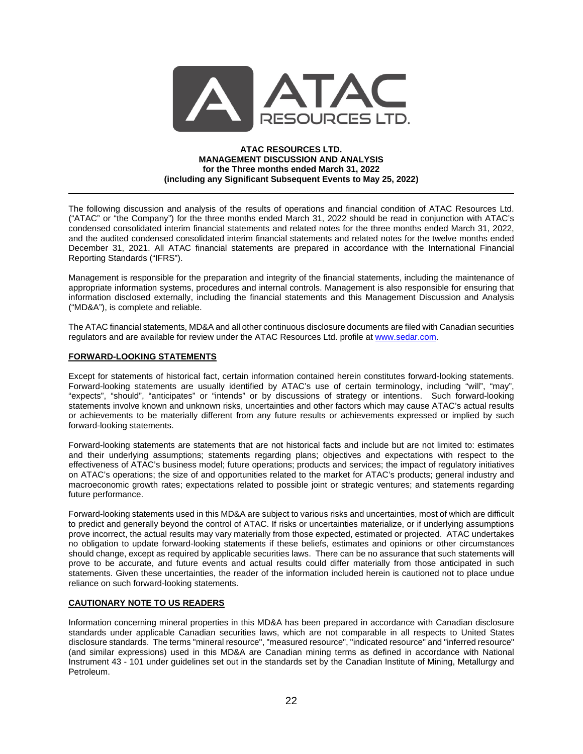

### **ATAC RESOURCES LTD. MANAGEMENT DISCUSSION AND ANALYSIS for the Three months ended March 31, 2022 (including any Significant Subsequent Events to May 25, 2022)**

The following discussion and analysis of the results of operations and financial condition of ATAC Resources Ltd. ("ATAC" or "the Company") for the three months ended March 31, 2022 should be read in conjunction with ATAC's condensed consolidated interim financial statements and related notes for the three months ended March 31, 2022, and the audited condensed consolidated interim financial statements and related notes for the twelve months ended December 31, 2021. All ATAC financial statements are prepared in accordance with the International Financial Reporting Standards ("IFRS").

Management is responsible for the preparation and integrity of the financial statements, including the maintenance of appropriate information systems, procedures and internal controls. Management is also responsible for ensuring that information disclosed externally, including the financial statements and this Management Discussion and Analysis ("MD&A"), is complete and reliable.

The ATAC financial statements, MD&A and all other continuous disclosure documents are filed with Canadian securities regulators and are available for review under the ATAC Resources Ltd. profile at [www.sedar.com.](http://www.sedar.com/)

## **FORWARD-LOOKING STATEMENTS**

Except for statements of historical fact, certain information contained herein constitutes forward-looking statements. Forward-looking statements are usually identified by ATAC's use of certain terminology, including "will", "may", "expects", "should", "anticipates" or "intends" or by discussions of strategy or intentions. Such forward-looking statements involve known and unknown risks, uncertainties and other factors which may cause ATAC's actual results or achievements to be materially different from any future results or achievements expressed or implied by such forward-looking statements.

Forward-looking statements are statements that are not historical facts and include but are not limited to: estimates and their underlying assumptions; statements regarding plans; objectives and expectations with respect to the effectiveness of ATAC's business model; future operations; products and services; the impact of regulatory initiatives on ATAC's operations; the size of and opportunities related to the market for ATAC's products; general industry and macroeconomic growth rates; expectations related to possible joint or strategic ventures; and statements regarding future performance.

Forward-looking statements used in this MD&A are subject to various risks and uncertainties, most of which are difficult to predict and generally beyond the control of ATAC. If risks or uncertainties materialize, or if underlying assumptions prove incorrect, the actual results may vary materially from those expected, estimated or projected. ATAC undertakes no obligation to update forward-looking statements if these beliefs, estimates and opinions or other circumstances should change, except as required by applicable securities laws. There can be no assurance that such statements will prove to be accurate, and future events and actual results could differ materially from those anticipated in such statements. Given these uncertainties, the reader of the information included herein is cautioned not to place undue reliance on such forward-looking statements.

## **CAUTIONARY NOTE TO US READERS**

Information concerning mineral properties in this MD&A has been prepared in accordance with Canadian disclosure standards under applicable Canadian securities laws, which are not comparable in all respects to United States disclosure standards. The terms "mineral resource", "measured resource", "indicated resource" and "inferred resource" (and similar expressions) used in this MD&A are Canadian mining terms as defined in accordance with National Instrument 43 - 101 under guidelines set out in the standards set by the Canadian Institute of Mining, Metallurgy and Petroleum.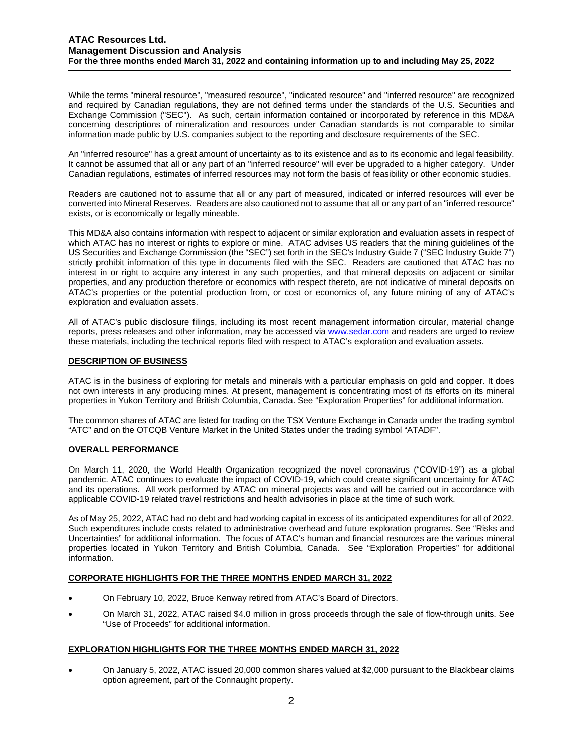While the terms "mineral resource", "measured resource", "indicated resource" and "inferred resource" are recognized and required by Canadian regulations, they are not defined terms under the standards of the U.S. Securities and Exchange Commission ("SEC"). As such, certain information contained or incorporated by reference in this MD&A concerning descriptions of mineralization and resources under Canadian standards is not comparable to similar information made public by U.S. companies subject to the reporting and disclosure requirements of the SEC.

An "inferred resource" has a great amount of uncertainty as to its existence and as to its economic and legal feasibility. It cannot be assumed that all or any part of an "inferred resource" will ever be upgraded to a higher category. Under Canadian regulations, estimates of inferred resources may not form the basis of feasibility or other economic studies.

Readers are cautioned not to assume that all or any part of measured, indicated or inferred resources will ever be converted into Mineral Reserves. Readers are also cautioned not to assume that all or any part of an "inferred resource" exists, or is economically or legally mineable.

This MD&A also contains information with respect to adjacent or similar exploration and evaluation assets in respect of which ATAC has no interest or rights to explore or mine. ATAC advises US readers that the mining guidelines of the US Securities and Exchange Commission (the "SEC") set forth in the SEC's Industry Guide 7 ("SEC Industry Guide 7") strictly prohibit information of this type in documents filed with the SEC. Readers are cautioned that ATAC has no interest in or right to acquire any interest in any such properties, and that mineral deposits on adjacent or similar properties, and any production therefore or economics with respect thereto, are not indicative of mineral deposits on ATAC's properties or the potential production from, or cost or economics of, any future mining of any of ATAC's exploration and evaluation assets.

All of ATAC's public disclosure filings, including its most recent management information circular, material change reports, press releases and other information, may be accessed vi[a www.sedar.com](http://www.sedar.com/) and readers are urged to review these materials, including the technical reports filed with respect to ATAC's exploration and evaluation assets.

# **DESCRIPTION OF BUSINESS**

ATAC is in the business of exploring for metals and minerals with a particular emphasis on gold and copper. It does not own interests in any producing mines. At present, management is concentrating most of its efforts on its mineral properties in Yukon Territory and British Columbia, Canada. See "Exploration Properties" for additional information.

The common shares of ATAC are listed for trading on the TSX Venture Exchange in Canada under the trading symbol "ATC" and on the OTCQB Venture Market in the United States under the trading symbol "ATADF".

## **OVERALL PERFORMANCE**

On March 11, 2020, the World Health Organization recognized the novel coronavirus ("COVID-19") as a global pandemic. ATAC continues to evaluate the impact of COVID-19, which could create significant uncertainty for ATAC and its operations. All work performed by ATAC on mineral projects was and will be carried out in accordance with applicable COVID-19 related travel restrictions and health advisories in place at the time of such work.

As of May 25, 2022, ATAC had no debt and had working capital in excess of its anticipated expenditures for all of 2022. Such expenditures include costs related to administrative overhead and future exploration programs. See "Risks and Uncertainties" for additional information. The focus of ATAC's human and financial resources are the various mineral properties located in Yukon Territory and British Columbia, Canada. See "Exploration Properties" for additional information.

# **CORPORATE HIGHLIGHTS FOR THE THREE MONTHS ENDED MARCH 31, 2022**

- On February 10, 2022, Bruce Kenway retired from ATAC's Board of Directors.
- On March 31, 2022, ATAC raised \$4.0 million in gross proceeds through the sale of flow-through units. See "Use of Proceeds" for additional information.

# **EXPLORATION HIGHLIGHTS FOR THE THREE MONTHS ENDED MARCH 31, 2022**

• On January 5, 2022, ATAC issued 20,000 common shares valued at \$2,000 pursuant to the Blackbear claims option agreement, part of the Connaught property.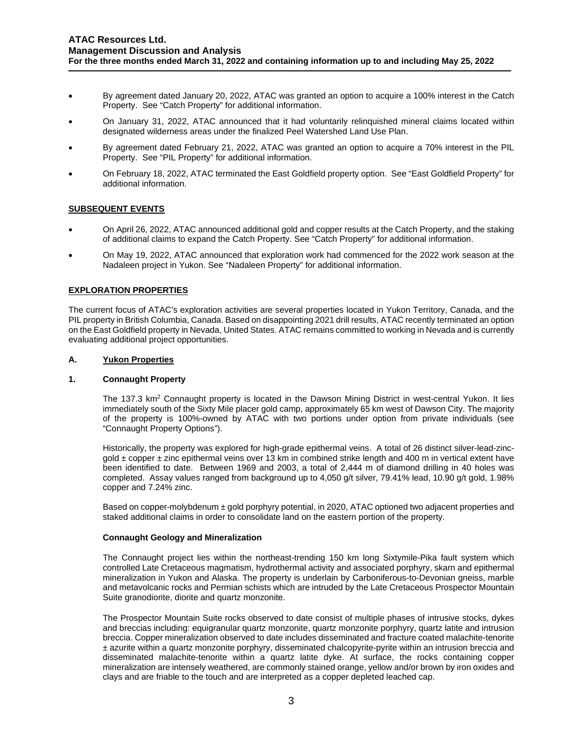- By agreement dated January 20, 2022, ATAC was granted an option to acquire a 100% interest in the Catch Property. See "Catch Property" for additional information.
- On January 31, 2022, ATAC announced that it had voluntarily relinquished mineral claims located within designated wilderness areas under the finalized Peel Watershed Land Use Plan.
- By agreement dated February 21, 2022, ATAC was granted an option to acquire a 70% interest in the PIL Property. See "PIL Property" for additional information.
- On February 18, 2022, ATAC terminated the East Goldfield property option. See "East Goldfield Property" for additional information.

# **SUBSEQUENT EVENTS**

- On April 26, 2022, ATAC announced additional gold and copper results at the Catch Property, and the staking of additional claims to expand the Catch Property. See "Catch Property" for additional information.
- On May 19, 2022, ATAC announced that exploration work had commenced for the 2022 work season at the Nadaleen project in Yukon. See "Nadaleen Property" for additional information.

# **EXPLORATION PROPERTIES**

The current focus of ATAC's exploration activities are several properties located in Yukon Territory, Canada, and the PIL property in British Columbia, Canada. Based on disappointing 2021 drill results, ATAC recently terminated an option on the East Goldfield property in Nevada, United States. ATAC remains committed to working in Nevada and is currently evaluating additional project opportunities.

## **A. Yukon Properties**

### **1. Connaught Property**

The 137.3 km<sup>2</sup> Connaught property is located in the Dawson Mining District in west-central Yukon. It lies immediately south of the Sixty Mile placer gold camp, approximately 65 km west of Dawson City. The majority of the property is 100%-owned by ATAC with two portions under option from private individuals (see "Connaught Property Options").

Historically, the property was explored for high-grade epithermal veins. A total of 26 distinct silver-lead-zincgold ± copper ± zinc epithermal veins over 13 km in combined strike length and 400 m in vertical extent have been identified to date. Between 1969 and 2003, a total of 2,444 m of diamond drilling in 40 holes was completed. Assay values ranged from background up to 4,050 g/t silver, 79.41% lead, 10.90 g/t gold, 1.98% copper and 7.24% zinc.

Based on copper-molybdenum ± gold porphyry potential, in 2020, ATAC optioned two adjacent properties and staked additional claims in order to consolidate land on the eastern portion of the property.

## **Connaught Geology and Mineralization**

The Connaught project lies within the northeast-trending 150 km long Sixtymile-Pika fault system which controlled Late Cretaceous magmatism, hydrothermal activity and associated porphyry, skarn and epithermal mineralization in Yukon and Alaska. The property is underlain by Carboniferous-to-Devonian gneiss, marble and metavolcanic rocks and Permian schists which are intruded by the Late Cretaceous Prospector Mountain Suite granodiorite, diorite and quartz monzonite.

The Prospector Mountain Suite rocks observed to date consist of multiple phases of intrusive stocks, dykes and breccias including: equigranular quartz monzonite, quartz monzonite porphyry, quartz latite and intrusion breccia. Copper mineralization observed to date includes disseminated and fracture coated malachite-tenorite ± azurite within a quartz monzonite porphyry, disseminated chalcopyrite-pyrite within an intrusion breccia and disseminated malachite-tenorite within a quartz latite dyke. At surface, the rocks containing copper mineralization are intensely weathered, are commonly stained orange, yellow and/or brown by iron oxides and clays and are friable to the touch and are interpreted as a copper depleted leached cap.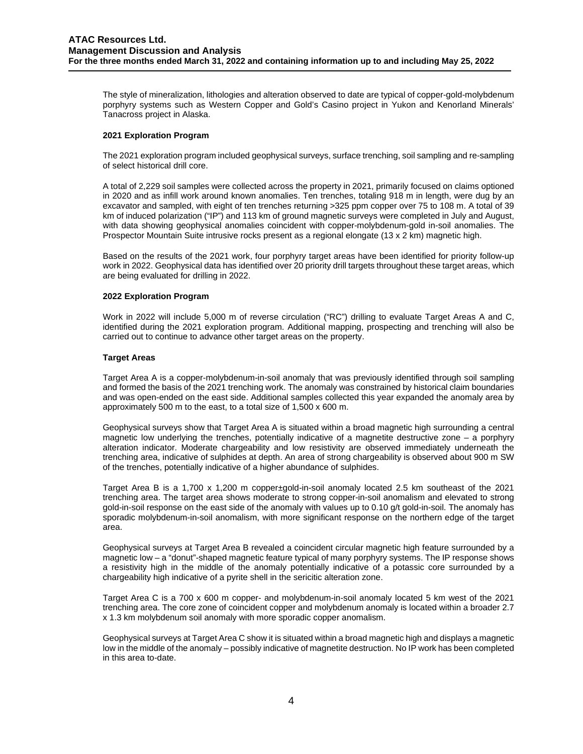The style of mineralization, lithologies and alteration observed to date are typical of copper-gold-molybdenum porphyry systems such as Western Copper and Gold's Casino project in Yukon and Kenorland Minerals' Tanacross project in Alaska.

## **2021 Exploration Program**

The 2021 exploration program included geophysical surveys, surface trenching, soil sampling and re-sampling of select historical drill core.

A total of 2,229 soil samples were collected across the property in 2021, primarily focused on claims optioned in 2020 and as infill work around known anomalies. Ten trenches, totaling 918 m in length, were dug by an excavator and sampled, with eight of ten trenches returning >325 ppm copper over 75 to 108 m. A total of 39 km of induced polarization ("IP") and 113 km of ground magnetic surveys were completed in July and August, with data showing geophysical anomalies coincident with copper-molybdenum-gold in-soil anomalies. The Prospector Mountain Suite intrusive rocks present as a regional elongate (13 x 2 km) magnetic high.

Based on the results of the 2021 work, four porphyry target areas have been identified for priority follow-up work in 2022. Geophysical data has identified over 20 priority drill targets throughout these target areas, which are being evaluated for drilling in 2022.

### **2022 Exploration Program**

Work in 2022 will include 5,000 m of reverse circulation ("RC") drilling to evaluate Target Areas A and C, identified during the 2021 exploration program. Additional mapping, prospecting and trenching will also be carried out to continue to advance other target areas on the property.

### **Target Areas**

Target Area A is a copper-molybdenum-in-soil anomaly that was previously identified through soil sampling and formed the basis of the 2021 trenching work. The anomaly was constrained by historical claim boundaries and was open-ended on the east side. Additional samples collected this year expanded the anomaly area by approximately 500 m to the east, to a total size of 1,500 x 600 m.

Geophysical surveys show that Target Area A is situated within a broad magnetic high surrounding a central magnetic low underlying the trenches, potentially indicative of a magnetite destructive zone – a porphyry alteration indicator. Moderate chargeability and low resistivity are observed immediately underneath the trenching area, indicative of sulphides at depth. An area of strong chargeability is observed about 900 m SW of the trenches, potentially indicative of a higher abundance of sulphides.

Target Area B is a 1,700 x 1,200 m copper±gold-in-soil anomaly located 2.5 km southeast of the 2021 trenching area. The target area shows moderate to strong copper-in-soil anomalism and elevated to strong gold-in-soil response on the east side of the anomaly with values up to 0.10 g/t gold-in-soil. The anomaly has sporadic molybdenum-in-soil anomalism, with more significant response on the northern edge of the target area.

Geophysical surveys at Target Area B revealed a coincident circular magnetic high feature surrounded by a magnetic low – a "donut"-shaped magnetic feature typical of many porphyry systems. The IP response shows a resistivity high in the middle of the anomaly potentially indicative of a potassic core surrounded by a chargeability high indicative of a pyrite shell in the sericitic alteration zone.

Target Area C is a 700 x 600 m copper- and molybdenum-in-soil anomaly located 5 km west of the 2021 trenching area. The core zone of coincident copper and molybdenum anomaly is located within a broader 2.7 x 1.3 km molybdenum soil anomaly with more sporadic copper anomalism.

Geophysical surveys at Target Area C show it is situated within a broad magnetic high and displays a magnetic low in the middle of the anomaly – possibly indicative of magnetite destruction. No IP work has been completed in this area to-date.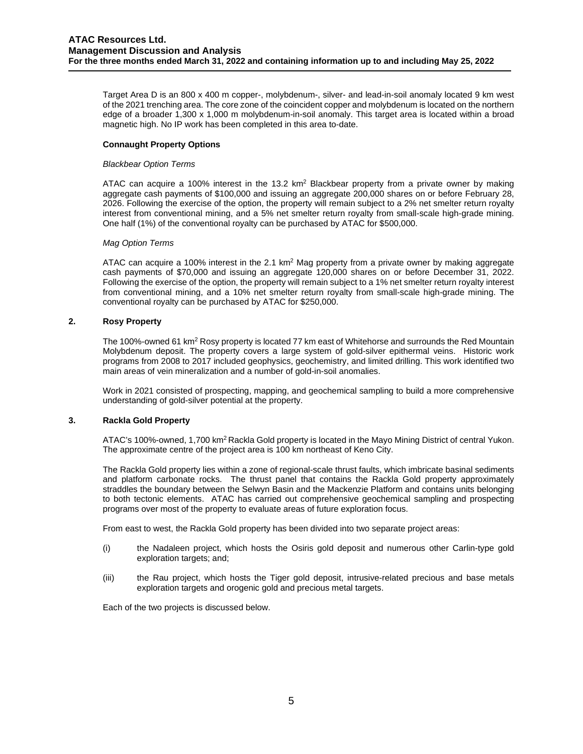Target Area D is an 800 x 400 m copper-, molybdenum-, silver- and lead-in-soil anomaly located 9 km west of the 2021 trenching area. The core zone of the coincident copper and molybdenum is located on the northern edge of a broader 1,300 x 1,000 m molybdenum-in-soil anomaly. This target area is located within a broad magnetic high. No IP work has been completed in this area to-date.

## **Connaught Property Options**

### *Blackbear Option Terms*

ATAC can acquire a 100% interest in the 13.2  $km^2$  Blackbear property from a private owner by making aggregate cash payments of \$100,000 and issuing an aggregate 200,000 shares on or before February 28, 2026. Following the exercise of the option, the property will remain subject to a 2% net smelter return royalty interest from conventional mining, and a 5% net smelter return royalty from small-scale high-grade mining. One half (1%) of the conventional royalty can be purchased by ATAC for \$500,000.

### *Mag Option Terms*

ATAC can acquire a 100% interest in the 2.1 km<sup>2</sup> Mag property from a private owner by making aggregate cash payments of \$70,000 and issuing an aggregate 120,000 shares on or before December 31, 2022. Following the exercise of the option, the property will remain subject to a 1% net smelter return royalty interest from conventional mining, and a 10% net smelter return royalty from small-scale high-grade mining. The conventional royalty can be purchased by ATAC for \$250,000.

## **2. Rosy Property**

The 100%-owned 61 km<sup>2</sup> Rosy property is located 77 km east of Whitehorse and surrounds the Red Mountain Molybdenum deposit. The property covers a large system of gold-silver epithermal veins. Historic work programs from 2008 to 2017 included geophysics, geochemistry, and limited drilling. This work identified two main areas of vein mineralization and a number of gold-in-soil anomalies.

Work in 2021 consisted of prospecting, mapping, and geochemical sampling to build a more comprehensive understanding of gold-silver potential at the property.

## **3. Rackla Gold Property**

ATAC's 100%-owned, 1,700 km2 Rackla Gold property is located in the Mayo Mining District of central Yukon. The approximate centre of the project area is 100 km northeast of Keno City.

The Rackla Gold property lies within a zone of regional-scale thrust faults, which imbricate basinal sediments and platform carbonate rocks. The thrust panel that contains the Rackla Gold property approximately straddles the boundary between the Selwyn Basin and the Mackenzie Platform and contains units belonging to both tectonic elements. ATAC has carried out comprehensive geochemical sampling and prospecting programs over most of the property to evaluate areas of future exploration focus.

From east to west, the Rackla Gold property has been divided into two separate project areas:

- (i) the Nadaleen project, which hosts the Osiris gold deposit and numerous other Carlin-type gold exploration targets; and;
- (iii) the Rau project, which hosts the Tiger gold deposit, intrusive-related precious and base metals exploration targets and orogenic gold and precious metal targets.

Each of the two projects is discussed below.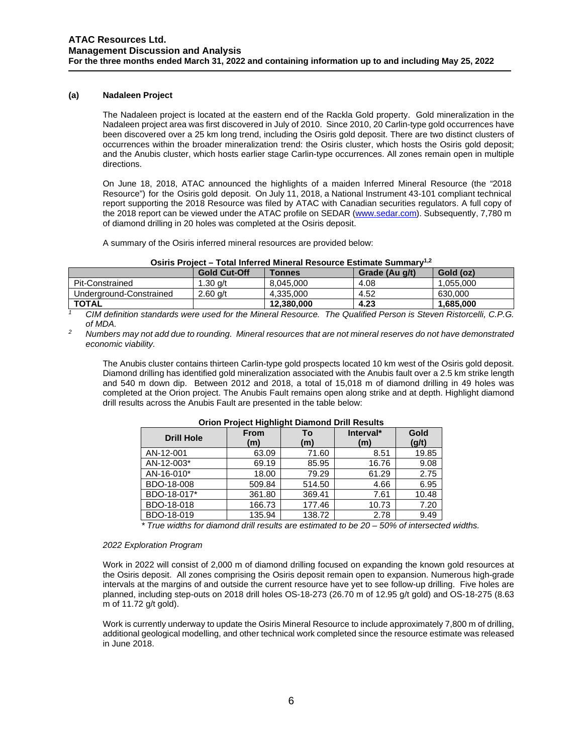## **(a) Nadaleen Project**

The Nadaleen project is located at the eastern end of the Rackla Gold property. Gold mineralization in the Nadaleen project area was first discovered in July of 2010. Since 2010, 20 Carlin-type gold occurrences have been discovered over a 25 km long trend, including the Osiris gold deposit. There are two distinct clusters of occurrences within the broader mineralization trend: the Osiris cluster, which hosts the Osiris gold deposit; and the Anubis cluster, which hosts earlier stage Carlin-type occurrences. All zones remain open in multiple directions.

On June 18, 2018, ATAC announced the highlights of a maiden Inferred Mineral Resource (the "2018 Resource") for the Osiris gold deposit. On July 11, 2018, a National Instrument 43-101 compliant technical report supporting the 2018 Resource was filed by ATAC with Canadian securities regulators. A full copy of the 2018 report can be viewed under the ATAC profile on SEDAR [\(www.sedar.com\)](http://www.sedar.com/). Subsequently, 7,780 m of diamond drilling in 20 holes was completed at the Osiris deposit.

A summary of the Osiris inferred mineral resources are provided below:

|  |  | Osiris Project - Total Inferred Mineral Resource Estimate Summary <sup>1,2</sup> |  |  |  |  |
|--|--|----------------------------------------------------------------------------------|--|--|--|--|
|--|--|----------------------------------------------------------------------------------|--|--|--|--|

|                         | <b>Gold Cut-Off</b> | <b>Tonnes</b> | Grade (Au g/t) | Gold (oz) |
|-------------------------|---------------------|---------------|----------------|-----------|
| Pit-Constrained         | 1.30 $q/t$          | 8.045.000     | 4.08           | 1.055.000 |
| Underaround-Constrained | $2.60$ a/t          | 4.335.000     | 4.52           | 630,000   |
| <b>TOTAL</b>            |                     | 12.380.000    | 4.23           | 1,685,000 |

*<sup>1</sup> CIM definition standards were used for the Mineral Resource. The Qualified Person is Steven Ristorcelli, C.P.G.* 

<sup>2</sup> Numbers may not add due to rounding. Mineral resources that are not mineral reserves do not have demonstrated *economic viability.* 

The Anubis cluster contains thirteen Carlin-type gold prospects located 10 km west of the Osiris gold deposit. Diamond drilling has identified gold mineralization associated with the Anubis fault over a 2.5 km strike length and 540 m down dip. Between 2012 and 2018, a total of 15,018 m of diamond drilling in 49 holes was completed at the Orion project. The Anubis Fault remains open along strike and at depth. Highlight diamond drill results across the Anubis Fault are presented in the table below:

| <b>Short Fojcet Highlight Diamond Drill Results</b> |                                 |        |                  |               |  |  |  |  |  |
|-----------------------------------------------------|---------------------------------|--------|------------------|---------------|--|--|--|--|--|
| <b>Drill Hole</b>                                   | <b>From</b><br>Тο<br>(m)<br>(m) |        | Interval*<br>(m) | Gold<br>(g/t) |  |  |  |  |  |
| AN-12-001                                           | 63.09                           | 71.60  | 8.51             | 19.85         |  |  |  |  |  |
| AN-12-003*                                          | 69.19                           | 85.95  | 16.76            | 9.08          |  |  |  |  |  |
| AN-16-010*                                          | 18.00                           | 79.29  | 61.29            | 2.75          |  |  |  |  |  |
| BDO-18-008                                          | 509.84                          | 514.50 | 4.66             | 6.95          |  |  |  |  |  |
| BDO-18-017*                                         | 361.80                          | 369.41 | 7.61             | 10.48         |  |  |  |  |  |
| BDO-18-018                                          | 166.73                          | 177.46 | 10.73            | 7.20          |  |  |  |  |  |
| BDO-18-019                                          | 135.94                          | 138.72 | 2.78             | 9.49          |  |  |  |  |  |

### **Orion Project Highlight Diamond Drill Results**

*\* True widths for diamond drill results are estimated to be 20 – 50% of intersected widths.*

### *2022 Exploration Program*

Work in 2022 will consist of 2,000 m of diamond drilling focused on expanding the known gold resources at the Osiris deposit. All zones comprising the Osiris deposit remain open to expansion. Numerous high-grade intervals at the margins of and outside the current resource have yet to see follow-up drilling. Five holes are planned, including step-outs on 2018 drill holes OS-18-273 (26.70 m of 12.95 g/t gold) and OS-18-275 (8.63 m of 11.72 g/t gold).

Work is currently underway to update the Osiris Mineral Resource to include approximately 7,800 m of drilling, additional geological modelling, and other technical work completed since the resource estimate was released in June 2018.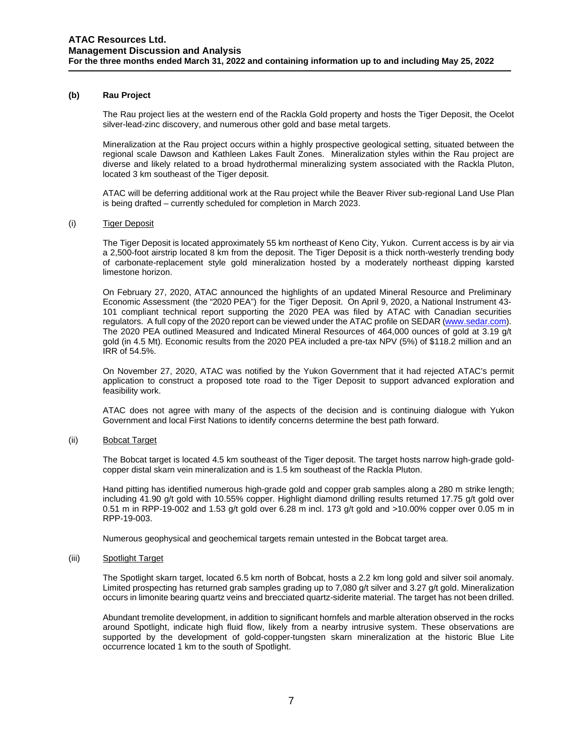## **(b) Rau Project**

The [Rau project](http://www.atacresources.com/projects/rackla/rau-trend) lies at the western end of the Rackla Gold property and hosts the Tiger Deposit, the Ocelot silver-lead-zinc discovery, and numerous other gold and base metal targets.

Mineralization at the Rau project occurs within a highly prospective geological setting, situated between the regional scale Dawson and Kathleen Lakes Fault Zones. Mineralization styles within the Rau project are diverse and likely related to a broad hydrothermal mineralizing system associated with the Rackla Pluton, located 3 km southeast of the Tiger deposit.

ATAC will be deferring additional work at the Rau project while the Beaver River sub-regional Land Use Plan is being drafted – currently scheduled for completion in March 2023.

### (i) Tiger Deposit

The Tiger Deposit is located approximately 55 km northeast of Keno City, Yukon. Current access is by air via a 2,500-foot airstrip located 8 km from the deposit. The Tiger Deposit is a thick north-westerly trending body of carbonate-replacement style gold mineralization hosted by a moderately northeast dipping karsted limestone horizon.

On February 27, 2020, ATAC announced the highlights of an updated Mineral Resource and Preliminary Economic Assessment (the "2020 PEA") for the Tiger Deposit. On April 9, 2020, a National Instrument 43- 101 compliant technical report supporting the 2020 PEA was filed by ATAC with Canadian securities regulators. A full copy of the 2020 report can be viewed under the ATAC profile on SEDAR [\(www.sedar.com\)](http://www.sedar.com/). The 2020 PEA outlined Measured and Indicated Mineral Resources of 464,000 ounces of gold at 3.19 g/t gold (in 4.5 Mt). Economic results from the 2020 PEA included a pre-tax NPV (5%) of \$118.2 million and an IRR of 54.5%.

On November 27, 2020, ATAC was notified by the Yukon Government that it had rejected ATAC's permit application to construct a proposed tote road to the Tiger Deposit to support advanced exploration and feasibility work.

ATAC does not agree with many of the aspects of the decision and is continuing dialogue with Yukon Government and local First Nations to identify concerns determine the best path forward.

### (ii) Bobcat Target

The Bobcat target is located 4.5 km southeast of the Tiger deposit. The target hosts narrow high-grade goldcopper distal skarn vein mineralization and is 1.5 km southeast of the Rackla Pluton.

Hand pitting has identified numerous high-grade gold and copper grab samples along a 280 m strike length; including 41.90 g/t gold with 10.55% copper. Highlight diamond drilling results returned 17.75 g/t gold over 0.51 m in RPP-19-002 and 1.53 g/t gold over 6.28 m incl. 173 g/t gold and >10.00% copper over 0.05 m in RPP-19-003.

Numerous geophysical and geochemical targets remain untested in the Bobcat target area.

### (iii) Spotlight Target

The Spotlight skarn target, located 6.5 km north of Bobcat, hosts a 2.2 km long gold and silver soil anomaly. Limited prospecting has returned grab samples grading up to 7,080 g/t silver and 3.27 g/t gold. Mineralization occurs in limonite bearing quartz veins and brecciated quartz-siderite material. The target has not been drilled.

Abundant tremolite development, in addition to significant hornfels and marble alteration observed in the rocks around Spotlight, indicate high fluid flow, likely from a nearby intrusive system. These observations are supported by the development of gold-copper-tungsten skarn mineralization at the historic Blue Lite occurrence located 1 km to the south of Spotlight.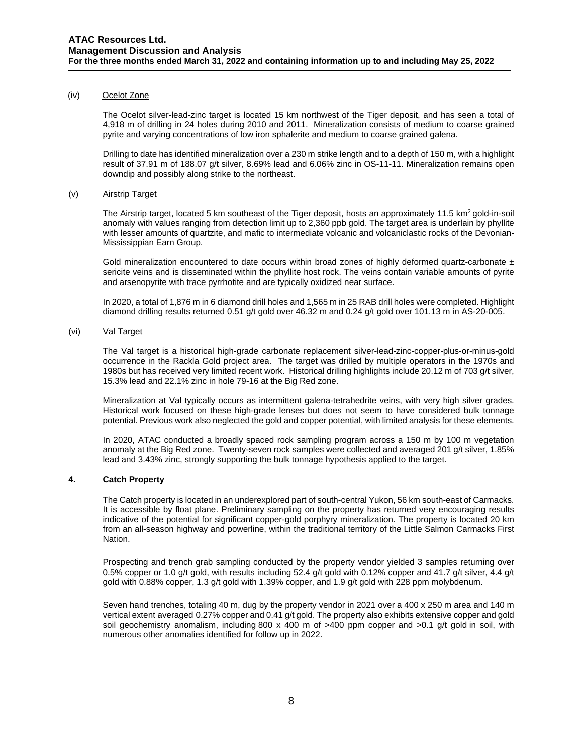### (iv) Ocelot Zone

The Ocelot silver-lead-zinc target is located 15 km northwest of the Tiger deposit, and has seen a total of 4,918 m of drilling in 24 holes during 2010 and 2011. Mineralization consists of medium to coarse grained pyrite and varying concentrations of low iron sphalerite and medium to coarse grained galena.

Drilling to date has identified mineralization over a 230 m strike length and to a depth of 150 m, with a highlight result of 37.91 m of 188.07 g/t silver, 8.69% lead and 6.06% zinc in OS-11-11. Mineralization remains open downdip and possibly along strike to the northeast.

### (v) Airstrip Target

The Airstrip target, located 5 km southeast of the Tiger deposit, hosts an approximately 11.5 km<sup>2</sup> gold-in-soil anomaly with values ranging from detection limit up to 2,360 ppb gold. The target area is underlain by phyllite with lesser amounts of quartzite, and mafic to intermediate volcanic and volcaniclastic rocks of the Devonian-Mississippian Earn Group.

Gold mineralization encountered to date occurs within broad zones of highly deformed quartz-carbonate  $\pm$ sericite veins and is disseminated within the phyllite host rock. The veins contain variable amounts of pyrite and arsenopyrite with trace pyrrhotite and are typically oxidized near surface.

In 2020, a total of 1,876 m in 6 diamond drill holes and 1,565 m in 25 RAB drill holes were completed. Highlight diamond drilling results returned 0.51 g/t gold over 46.32 m and 0.24 g/t gold over 101.13 m in AS-20-005.

## (vi) Val Target

The Val target is a historical high-grade carbonate replacement silver-lead-zinc-copper-plus-or-minus-gold occurrence in the Rackla Gold project area. The target was drilled by multiple operators in the 1970s and 1980s but has received very limited recent work. Historical drilling highlights include 20.12 m of 703 g/t silver, 15.3% lead and 22.1% zinc in hole 79-16 at the Big Red zone.

Mineralization at Val typically occurs as intermittent galena-tetrahedrite veins, with very high silver grades. Historical work focused on these high-grade lenses but does not seem to have considered bulk tonnage potential. Previous work also neglected the gold and copper potential, with limited analysis for these elements.

In 2020, ATAC conducted a broadly spaced rock sampling program across a 150 m by 100 m vegetation anomaly at the Big Red zone. Twenty-seven rock samples were collected and averaged 201 g/t silver, 1.85% lead and 3.43% zinc, strongly supporting the bulk tonnage hypothesis applied to the target.

### **4. Catch Property**

The Catch property is located in an underexplored part of south-central Yukon, 56 km south-east of Carmacks. It is accessible by float plane. Preliminary sampling on the property has returned very encouraging results indicative of the potential for significant copper-gold porphyry mineralization. The property is located 20 km from an all-season highway and powerline, within the traditional territory of the Little Salmon Carmacks First Nation.

Prospecting and trench grab sampling conducted by the property vendor yielded 3 samples returning over 0.5% copper or 1.0 g/t gold, with results including 52.4 g/t gold with 0.12% copper and 41.7 g/t silver, 4.4 g/t gold with 0.88% copper, 1.3 g/t gold with 1.39% copper, and 1.9 g/t gold with 228 ppm molybdenum.

Seven hand trenches, totaling 40 m, dug by the property vendor in 2021 over a 400 x 250 m area and 140 m vertical extent averaged 0.27% copper and 0.41 g/t gold. The property also exhibits extensive copper and gold soil geochemistry anomalism, including 800 x 400 m of  $>400$  ppm copper and  $>0.1$  g/t gold in soil, with numerous other anomalies identified for follow up in 2022.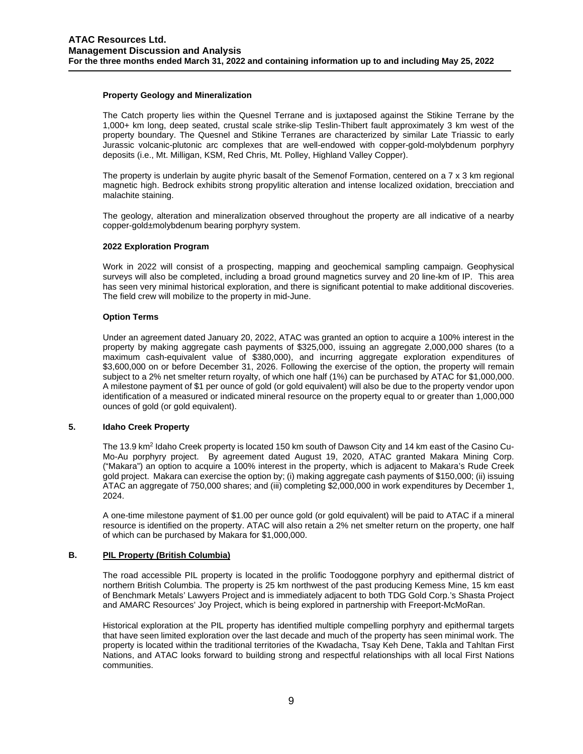### **Property Geology and Mineralization**

The Catch property lies within the Quesnel Terrane and is juxtaposed against the Stikine Terrane by the 1,000+ km long, deep seated, crustal scale strike-slip Teslin-Thibert fault approximately 3 km west of the property boundary. The Quesnel and Stikine Terranes are characterized by similar Late Triassic to early Jurassic volcanic-plutonic arc complexes that are well-endowed with copper-gold-molybdenum porphyry deposits (i.e., Mt. Milligan, KSM, Red Chris, Mt. Polley, Highland Valley Copper).

The property is underlain by augite phyric basalt of the Semenof Formation, centered on a 7 x 3 km regional magnetic high. Bedrock exhibits strong propylitic alteration and intense localized oxidation, brecciation and malachite staining.

The geology, alteration and mineralization observed throughout the property are all indicative of a nearby copper-gold±molybdenum bearing porphyry system.

### **2022 Exploration Program**

Work in 2022 will consist of a prospecting, mapping and geochemical sampling campaign. Geophysical surveys will also be completed, including a broad ground magnetics survey and 20 line-km of IP. This area has seen very minimal historical exploration, and there is significant potential to make additional discoveries. The field crew will mobilize to the property in mid-June.

### **Option Terms**

Under an agreement dated January 20, 2022, ATAC was granted an option to acquire a 100% interest in the property by making aggregate cash payments of \$325,000, issuing an aggregate 2,000,000 shares (to a maximum cash-equivalent value of \$380,000), and incurring aggregate exploration expenditures of \$3,600,000 on or before December 31, 2026. Following the exercise of the option, the property will remain subject to a 2% net smelter return royalty, of which one half (1%) can be purchased by ATAC for \$1,000,000. A milestone payment of \$1 per ounce of gold (or gold equivalent) will also be due to the property vendor upon identification of a measured or indicated mineral resource on the property equal to or greater than 1,000,000 ounces of gold (or gold equivalent).

## **5. Idaho Creek Property**

The 13.9 km<sup>2</sup> Idaho Creek property is located 150 km south of Dawson City and 14 km east of the Casino Cu-Mo-Au porphyry project. By agreement dated August 19, 2020, ATAC granted Makara Mining Corp. ("Makara") an option to acquire a 100% interest in the property, which is adjacent to Makara's Rude Creek gold project. Makara can exercise the option by; (i) making aggregate cash payments of \$150,000; (ii) issuing ATAC an aggregate of 750,000 shares; and (iii) completing \$2,000,000 in work expenditures by December 1, 2024.

A one-time milestone payment of \$1.00 per ounce gold (or gold equivalent) will be paid to ATAC if a mineral resource is identified on the property. ATAC will also retain a 2% net smelter return on the property, one half of which can be purchased by Makara for \$1,000,000.

## **B. PIL Property (British Columbia)**

The road accessible PIL property is located in the prolific Toodoggone porphyry and epithermal district of northern British Columbia. The property is 25 km northwest of the past producing Kemess Mine, 15 km east of Benchmark Metals' Lawyers Project and is immediately adjacent to both TDG Gold Corp.'s Shasta Project and AMARC Resources' Joy Project, which is being explored in partnership with Freeport-McMoRan.

Historical exploration at the PIL property has identified multiple compelling porphyry and epithermal targets that have seen limited exploration over the last decade and much of the property has seen minimal work. The property is located within the traditional territories of the Kwadacha, Tsay Keh Dene, Takla and Tahltan First Nations, and ATAC looks forward to building strong and respectful relationships with all local First Nations communities.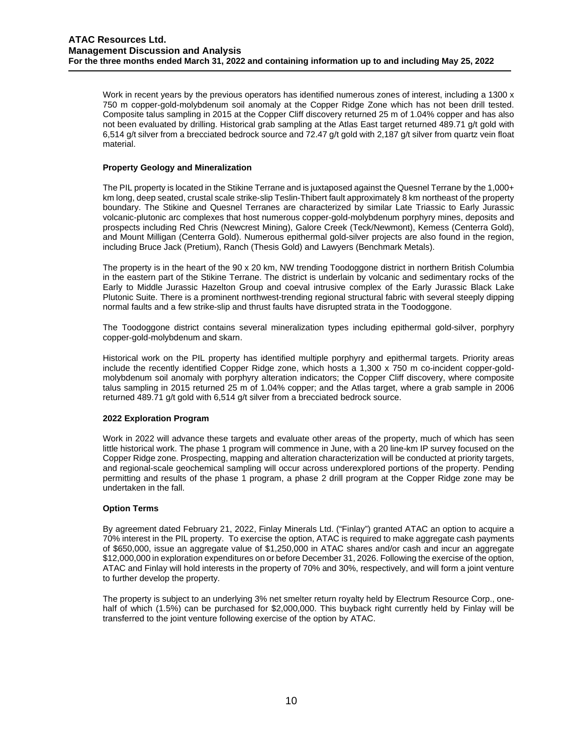Work in recent years by the previous operators has identified numerous zones of interest, including a 1300 x 750 m copper-gold-molybdenum soil anomaly at the Copper Ridge Zone which has not been drill tested. Composite talus sampling in 2015 at the Copper Cliff discovery returned 25 m of 1.04% copper and has also not been evaluated by drilling. Historical grab sampling at the Atlas East target returned 489.71 g/t gold with 6,514 g/t silver from a brecciated bedrock source and 72.47 g/t gold with 2,187 g/t silver from quartz vein float material.

## **Property Geology and Mineralization**

The PIL property is located in the Stikine Terrane and is juxtaposed against the Quesnel Terrane by the 1,000+ km long, deep seated, crustal scale strike-slip Teslin-Thibert fault approximately 8 km northeast of the property boundary. The Stikine and Quesnel Terranes are characterized by similar Late Triassic to Early Jurassic volcanic-plutonic arc complexes that host numerous copper-gold-molybdenum porphyry mines, deposits and prospects including Red Chris (Newcrest Mining), Galore Creek (Teck/Newmont), Kemess (Centerra Gold), and Mount Milligan (Centerra Gold). Numerous epithermal gold-silver projects are also found in the region, including Bruce Jack (Pretium), Ranch (Thesis Gold) and Lawyers (Benchmark Metals).

The property is in the heart of the 90 x 20 km, NW trending Toodoggone district in northern British Columbia in the eastern part of the Stikine Terrane. The district is underlain by volcanic and sedimentary rocks of the Early to Middle Jurassic Hazelton Group and coeval intrusive complex of the Early Jurassic Black Lake Plutonic Suite. There is a prominent northwest-trending regional structural fabric with several steeply dipping normal faults and a few strike-slip and thrust faults have disrupted strata in the Toodoggone.

The Toodoggone district contains several mineralization types including epithermal gold-silver, porphyry copper-gold-molybdenum and skarn.

Historical work on the PIL property has identified multiple porphyry and epithermal targets. Priority areas include the recently identified Copper Ridge zone, which hosts a 1,300 x 750 m co-incident copper-goldmolybdenum soil anomaly with porphyry alteration indicators; the Copper Cliff discovery, where composite talus sampling in 2015 returned 25 m of 1.04% copper; and the Atlas target, where a grab sample in 2006 returned 489.71 g/t gold with 6,514 g/t silver from a brecciated bedrock source.

## **2022 Exploration Program**

Work in 2022 will advance these targets and evaluate other areas of the property, much of which has seen little historical work. The phase 1 program will commence in June, with a 20 line-km IP survey focused on the Copper Ridge zone. Prospecting, mapping and alteration characterization will be conducted at priority targets, and regional-scale geochemical sampling will occur across underexplored portions of the property. Pending permitting and results of the phase 1 program, a phase 2 drill program at the Copper Ridge zone may be undertaken in the fall.

## **Option Terms**

By agreement dated February 21, 2022, Finlay Minerals Ltd. ("Finlay") granted ATAC an option to acquire a 70% interest in the PIL property. To exercise the option, ATAC is required to make aggregate cash payments of \$650,000, issue an aggregate value of \$1,250,000 in ATAC shares and/or cash and incur an aggregate \$12,000,000 in exploration expenditures on or before December 31, 2026. Following the exercise of the option, ATAC and Finlay will hold interests in the property of 70% and 30%, respectively, and will form a joint venture to further develop the property.

The property is subject to an underlying 3% net smelter return royalty held by Electrum Resource Corp., onehalf of which (1.5%) can be purchased for \$2,000,000. This buyback right currently held by Finlay will be transferred to the joint venture following exercise of the option by ATAC.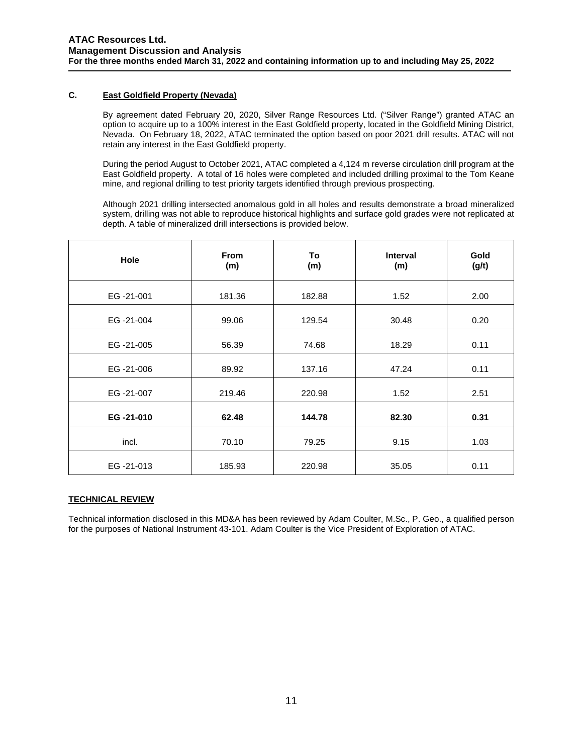# **C. East Goldfield Property (Nevada)**

By agreement dated February 20, 2020, Silver Range Resources Ltd. ("Silver Range") granted ATAC an option to acquire up to a 100% interest in the East Goldfield property, located in the Goldfield Mining District, Nevada. On February 18, 2022, ATAC terminated the option based on poor 2021 drill results. ATAC will not retain any interest in the East Goldfield property.

During the period August to October 2021, ATAC completed a 4,124 m reverse circulation drill program at the East Goldfield property. A total of 16 holes were completed and included drilling proximal to the Tom Keane mine, and regional drilling to test priority targets identified through previous prospecting.

Although 2021 drilling intersected anomalous gold in all holes and results demonstrate a broad mineralized system, drilling was not able to reproduce historical highlights and surface gold grades were not replicated at depth. A table of mineralized drill intersections is provided below.

| <b>Hole</b> | <b>From</b><br>(m) | To<br>(m) | <b>Interval</b><br>(m) | Gold<br>(g/t) |
|-------------|--------------------|-----------|------------------------|---------------|
| EG-21-001   | 181.36             | 182.88    | 1.52                   | 2.00          |
| EG-21-004   | 99.06              | 129.54    | 30.48                  | 0.20          |
| EG-21-005   | 56.39              | 74.68     | 18.29                  | 0.11          |
| EG-21-006   | 89.92              | 137.16    | 47.24                  | 0.11          |
| EG-21-007   | 219.46             | 220.98    | 1.52                   | 2.51          |
| EG-21-010   | 62.48              | 144.78    | 82.30                  | 0.31          |
| incl.       | 70.10              | 79.25     | 9.15                   | 1.03          |
| EG-21-013   | 185.93             | 220.98    | 35.05                  | 0.11          |

# **TECHNICAL REVIEW**

Technical information disclosed in this MD&A has been reviewed by Adam Coulter, M.Sc., P. Geo., a qualified person for the purposes of National Instrument 43-101. Adam Coulter is the Vice President of Exploration of ATAC.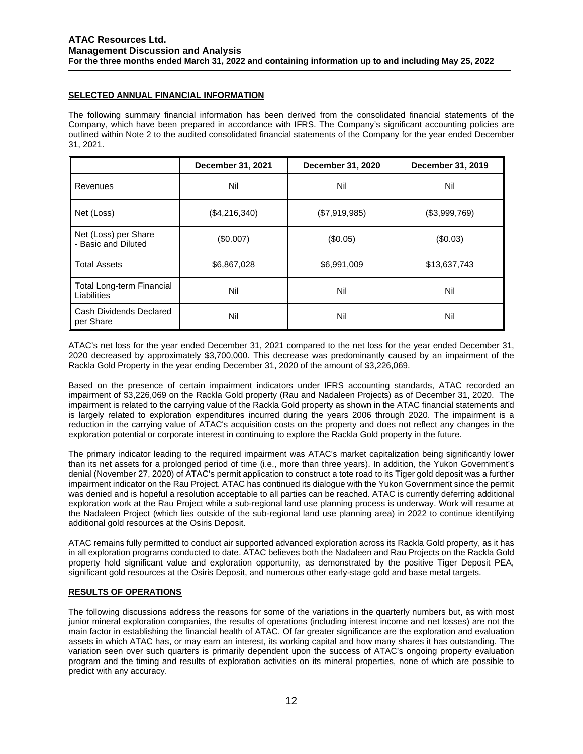# **SELECTED ANNUAL FINANCIAL INFORMATION**

The following summary financial information has been derived from the consolidated financial statements of the Company, which have been prepared in accordance with IFRS. The Company's significant accounting policies are outlined within Note 2 to the audited consolidated financial statements of the Company for the year ended December 31, 2021.

|                                                 | December 31, 2021 | <b>December 31, 2020</b> | December 31, 2019 |
|-------------------------------------------------|-------------------|--------------------------|-------------------|
| Revenues                                        | Nil               | Nil                      | Nil               |
| Net (Loss)                                      | (\$4,216,340)     | (\$7,919,985)            | (\$3,999,769)     |
| Net (Loss) per Share<br>- Basic and Diluted     | (\$0.007)         | (\$0.05)                 | (\$0.03)          |
| <b>Total Assets</b>                             | \$6,867,028       | \$6,991,009              | \$13,637,743      |
| <b>Total Long-term Financial</b><br>Liabilities | Nil               | Nil                      | Nil               |
| Cash Dividends Declared<br>per Share            | Nil               | Nil                      | Nil               |

ATAC's net loss for the year ended December 31, 2021 compared to the net loss for the year ended December 31, 2020 decreased by approximately \$3,700,000. This decrease was predominantly caused by an impairment of the Rackla Gold Property in the year ending December 31, 2020 of the amount of \$3,226,069.

Based on the presence of certain impairment indicators under IFRS accounting standards, ATAC recorded an impairment of \$3,226,069 on the Rackla Gold property (Rau and Nadaleen Projects) as of December 31, 2020. The impairment is related to the carrying value of the Rackla Gold property as shown in the ATAC financial statements and is largely related to exploration expenditures incurred during the years 2006 through 2020. The impairment is a reduction in the carrying value of ATAC's acquisition costs on the property and does not reflect any changes in the exploration potential or corporate interest in continuing to explore the Rackla Gold property in the future.

The primary indicator leading to the required impairment was ATAC's market capitalization being significantly lower than its net assets for a prolonged period of time (i.e., more than three years). In addition, the Yukon Government's denial (November 27, 2020) of ATAC's permit application to construct a tote road to its Tiger gold deposit was a further impairment indicator on the Rau Project. ATAC has continued its dialogue with the Yukon Government since the permit was denied and is hopeful a resolution acceptable to all parties can be reached. ATAC is currently deferring additional exploration work at the Rau Project while a sub-regional land use planning process is underway. Work will resume at the Nadaleen Project (which lies outside of the sub-regional land use planning area) in 2022 to continue identifying additional gold resources at the Osiris Deposit.

ATAC remains fully permitted to conduct air supported advanced exploration across its Rackla Gold property, as it has in all exploration programs conducted to date. ATAC believes both the Nadaleen and Rau Projects on the Rackla Gold property hold significant value and exploration opportunity, as demonstrated by the positive Tiger Deposit PEA, significant gold resources at the Osiris Deposit, and numerous other early-stage gold and base metal targets.

# **RESULTS OF OPERATIONS**

The following discussions address the reasons for some of the variations in the quarterly numbers but, as with most junior mineral exploration companies, the results of operations (including interest income and net losses) are not the main factor in establishing the financial health of ATAC. Of far greater significance are the exploration and evaluation assets in which ATAC has, or may earn an interest, its working capital and how many shares it has outstanding. The variation seen over such quarters is primarily dependent upon the success of ATAC's ongoing property evaluation program and the timing and results of exploration activities on its mineral properties, none of which are possible to predict with any accuracy.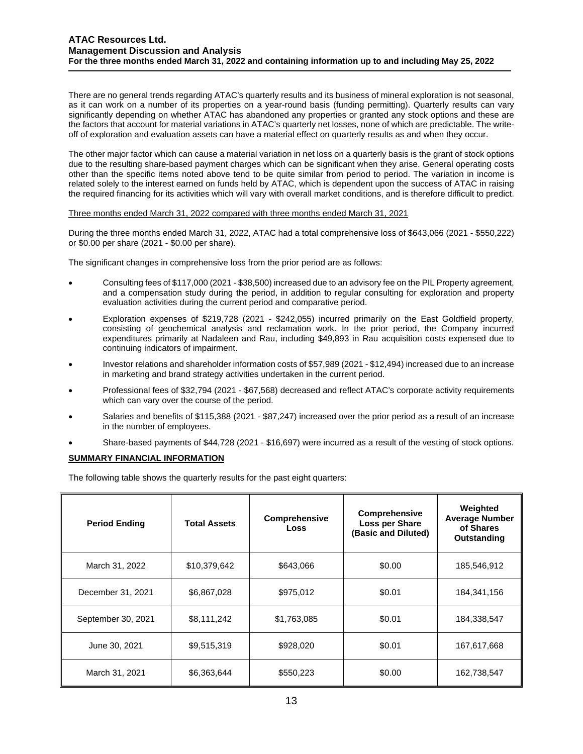There are no general trends regarding ATAC's quarterly results and its business of mineral exploration is not seasonal, as it can work on a number of its properties on a year-round basis (funding permitting). Quarterly results can vary significantly depending on whether ATAC has abandoned any properties or granted any stock options and these are the factors that account for material variations in ATAC's quarterly net losses, none of which are predictable. The writeoff of exploration and evaluation assets can have a material effect on quarterly results as and when they occur.

The other major factor which can cause a material variation in net loss on a quarterly basis is the grant of stock options due to the resulting share-based payment charges which can be significant when they arise. General operating costs other than the specific items noted above tend to be quite similar from period to period. The variation in income is related solely to the interest earned on funds held by ATAC, which is dependent upon the success of ATAC in raising the required financing for its activities which will vary with overall market conditions, and is therefore difficult to predict.

### Three months ended March 31, 2022 compared with three months ended March 31, 2021

During the three months ended March 31, 2022, ATAC had a total comprehensive loss of \$643,066 (2021 - \$550,222) or \$0.00 per share (2021 - \$0.00 per share).

The significant changes in comprehensive loss from the prior period are as follows:

- Consulting fees of \$117,000 (2021 \$38,500) increased due to an advisory fee on the PIL Property agreement, and a compensation study during the period, in addition to regular consulting for exploration and property evaluation activities during the current period and comparative period.
- Exploration expenses of \$219,728 (2021 \$242,055) incurred primarily on the East Goldfield property, consisting of geochemical analysis and reclamation work. In the prior period, the Company incurred expenditures primarily at Nadaleen and Rau, including \$49,893 in Rau acquisition costs expensed due to continuing indicators of impairment.
- Investor relations and shareholder information costs of \$57,989 (2021 \$12,494) increased due to an increase in marketing and brand strategy activities undertaken in the current period.
- Professional fees of \$32,794 (2021 \$67,568) decreased and reflect ATAC's corporate activity requirements which can vary over the course of the period.
- Salaries and benefits of \$115,388 (2021 \$87,247) increased over the prior period as a result of an increase in the number of employees.
- Share-based payments of \$44,728 (2021 \$16,697) were incurred as a result of the vesting of stock options.

## **SUMMARY FINANCIAL INFORMATION**

The following table shows the quarterly results for the past eight quarters:

| <b>Period Ending</b> | <b>Total Assets</b> | <b>Comprehensive</b><br>Loss | <b>Comprehensive</b><br>Loss per Share<br>(Basic and Diluted) | Weighted<br><b>Average Number</b><br>of Shares<br>Outstanding |
|----------------------|---------------------|------------------------------|---------------------------------------------------------------|---------------------------------------------------------------|
| March 31, 2022       | \$10,379,642        | \$643,066                    | \$0.00                                                        | 185,546,912                                                   |
| December 31, 2021    | \$6,867,028         | \$975,012                    | \$0.01                                                        | 184,341,156                                                   |
| September 30, 2021   | \$8,111,242         | \$1,763,085                  | \$0.01                                                        | 184,338,547                                                   |
| June 30, 2021        | \$9,515,319         | \$928,020                    | \$0.01                                                        | 167,617,668                                                   |
| March 31, 2021       | \$6,363,644         | \$550,223                    | \$0.00                                                        | 162,738,547                                                   |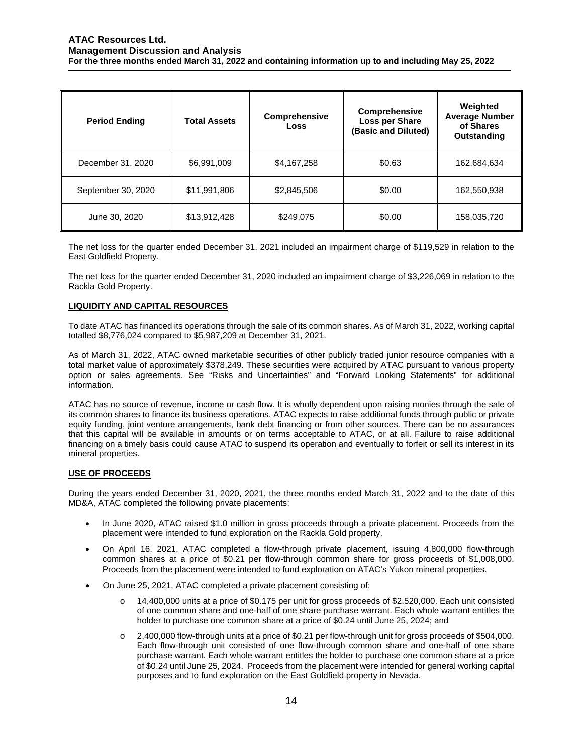| <b>Period Ending</b> | <b>Total Assets</b> | <b>Comprehensive</b><br>Loss | <b>Comprehensive</b><br>Loss per Share<br>(Basic and Diluted) | Weighted<br><b>Average Number</b><br>of Shares<br>Outstanding |
|----------------------|---------------------|------------------------------|---------------------------------------------------------------|---------------------------------------------------------------|
| December 31, 2020    | \$6,991,009         | \$4,167,258                  | \$0.63                                                        | 162,684,634                                                   |
| September 30, 2020   | \$11,991,806        | \$2,845,506                  | \$0.00                                                        | 162,550,938                                                   |
| June 30, 2020        | \$13,912,428        | \$249,075                    | \$0.00                                                        | 158,035,720                                                   |

The net loss for the quarter ended December 31, 2021 included an impairment charge of \$119,529 in relation to the East Goldfield Property.

The net loss for the quarter ended December 31, 2020 included an impairment charge of \$3,226,069 in relation to the Rackla Gold Property.

# **LIQUIDITY AND CAPITAL RESOURCES**

To date ATAC has financed its operations through the sale of its common shares. As of March 31, 2022, working capital totalled \$8,776,024 compared to \$5,987,209 at December 31, 2021.

As of March 31, 2022, ATAC owned marketable securities of other publicly traded junior resource companies with a total market value of approximately \$378,249. These securities were acquired by ATAC pursuant to various property option or sales agreements. See "Risks and Uncertainties" and "Forward Looking Statements" for additional information.

ATAC has no source of revenue, income or cash flow. It is wholly dependent upon raising monies through the sale of its common shares to finance its business operations. ATAC expects to raise additional funds through public or private equity funding, joint venture arrangements, bank debt financing or from other sources. There can be no assurances that this capital will be available in amounts or on terms acceptable to ATAC, or at all. Failure to raise additional financing on a timely basis could cause ATAC to suspend its operation and eventually to forfeit or sell its interest in its mineral properties.

## **USE OF PROCEEDS**

During the years ended December 31, 2020, 2021, the three months ended March 31, 2022 and to the date of this MD&A, ATAC completed the following private placements:

- In June 2020, ATAC raised \$1.0 million in gross proceeds through a private placement. Proceeds from the placement were intended to fund exploration on the Rackla Gold property.
- On April 16, 2021, ATAC completed a flow-through private placement, issuing 4,800,000 flow-through common shares at a price of \$0.21 per flow-through common share for gross proceeds of \$1,008,000. Proceeds from the placement were intended to fund exploration on ATAC's Yukon mineral properties.
- On June 25, 2021, ATAC completed a private placement consisting of:
	- o 14,400,000 units at a price of \$0.175 per unit for gross proceeds of \$2,520,000. Each unit consisted of one common share and one-half of one share purchase warrant. Each whole warrant entitles the holder to purchase one common share at a price of \$0.24 until June 25, 2024; and
	- o 2,400,000 flow-through units at a price of \$0.21 per flow-through unit for gross proceeds of \$504,000. Each flow-through unit consisted of one flow-through common share and one-half of one share purchase warrant. Each whole warrant entitles the holder to purchase one common share at a price of \$0.24 until June 25, 2024. Proceeds from the placement were intended for general working capital purposes and to fund exploration on the East Goldfield property in Nevada.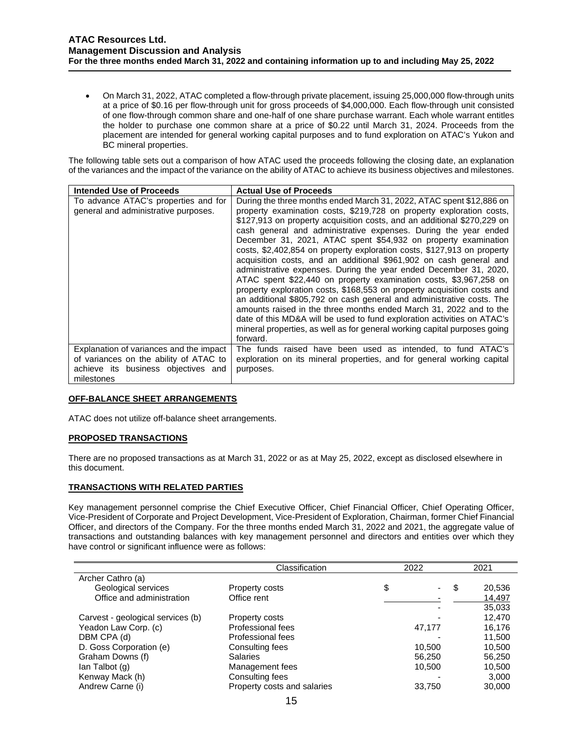• On March 31, 2022, ATAC completed a flow-through private placement, issuing 25,000,000 flow-through units at a price of \$0.16 per flow-through unit for gross proceeds of \$4,000,000. Each flow-through unit consisted of one flow-through common share and one-half of one share purchase warrant. Each whole warrant entitles the holder to purchase one common share at a price of \$0.22 until March 31, 2024. Proceeds from the placement are intended for general working capital purposes and to fund exploration on ATAC's Yukon and BC mineral properties.

The following table sets out a comparison of how ATAC used the proceeds following the closing date, an explanation of the variances and the impact of the variance on the ability of ATAC to achieve its business objectives and milestones.

| <b>Intended Use of Proceeds</b>                                                                                                        | <b>Actual Use of Proceeds</b>                                                                                                                                                                                                                                                                                                                                                                                                                                                                                                                                                                                                                                                                                                                                                                                                                                                                                                                                                                                                                         |
|----------------------------------------------------------------------------------------------------------------------------------------|-------------------------------------------------------------------------------------------------------------------------------------------------------------------------------------------------------------------------------------------------------------------------------------------------------------------------------------------------------------------------------------------------------------------------------------------------------------------------------------------------------------------------------------------------------------------------------------------------------------------------------------------------------------------------------------------------------------------------------------------------------------------------------------------------------------------------------------------------------------------------------------------------------------------------------------------------------------------------------------------------------------------------------------------------------|
| To advance ATAC's properties and for<br>general and administrative purposes.                                                           | During the three months ended March 31, 2022, ATAC spent \$12,886 on<br>property examination costs, \$219,728 on property exploration costs,<br>\$127,913 on property acquisition costs, and an additional \$270,229 on<br>cash general and administrative expenses. During the year ended<br>December 31, 2021, ATAC spent \$54,932 on property examination<br>costs, \$2,402,854 on property exploration costs, \$127,913 on property<br>acquisition costs, and an additional \$961,902 on cash general and<br>administrative expenses. During the year ended December 31, 2020,<br>ATAC spent \$22,440 on property examination costs, \$3,967,258 on<br>property exploration costs, \$168,553 on property acquisition costs and<br>an additional \$805,792 on cash general and administrative costs. The<br>amounts raised in the three months ended March 31, 2022 and to the<br>date of this MD&A will be used to fund exploration activities on ATAC's<br>mineral properties, as well as for general working capital purposes going<br>forward. |
| Explanation of variances and the impact<br>of variances on the ability of ATAC to<br>achieve its business objectives and<br>milestones | The funds raised have been used as intended, to fund ATAC's<br>exploration on its mineral properties, and for general working capital<br>purposes.                                                                                                                                                                                                                                                                                                                                                                                                                                                                                                                                                                                                                                                                                                                                                                                                                                                                                                    |

## **OFF-BALANCE SHEET ARRANGEMENTS**

ATAC does not utilize off-balance sheet arrangements.

## **PROPOSED TRANSACTIONS**

There are no proposed transactions as at March 31, 2022 or as at May 25, 2022, except as disclosed elsewhere in this document.

## **TRANSACTIONS WITH RELATED PARTIES**

Key management personnel comprise the Chief Executive Officer, Chief Financial Officer, Chief Operating Officer, Vice-President of Corporate and Project Development, Vice-President of Exploration, Chairman, former Chief Financial Officer, and directors of the Company. For the three months ended March 31, 2022 and 2021, the aggregate value of transactions and outstanding balances with key management personnel and directors and entities over which they have control or significant influence were as follows:

|                                   | Classification              | 2022    | 2021 |        |
|-----------------------------------|-----------------------------|---------|------|--------|
| Archer Cathro (a)                 |                             |         |      |        |
| Geological services               | Property costs              | \$<br>٠ | \$   | 20,536 |
| Office and administration         | Office rent                 |         |      | 14,497 |
|                                   |                             |         |      | 35,033 |
| Carvest - geological services (b) | Property costs              |         |      | 12,470 |
| Yeadon Law Corp. (c)              | Professional fees           | 47,177  |      | 16,176 |
| DBM CPA (d)                       | Professional fees           |         |      | 11,500 |
| D. Goss Corporation (e)           | Consulting fees             | 10,500  |      | 10,500 |
| Graham Downs (f)                  | <b>Salaries</b>             | 56,250  |      | 56,250 |
| lan Talbot (g)                    | Management fees             | 10,500  |      | 10,500 |
| Kenway Mack (h)                   | Consulting fees             |         |      | 3,000  |
| Andrew Carne (i)                  | Property costs and salaries | 33,750  |      | 30,000 |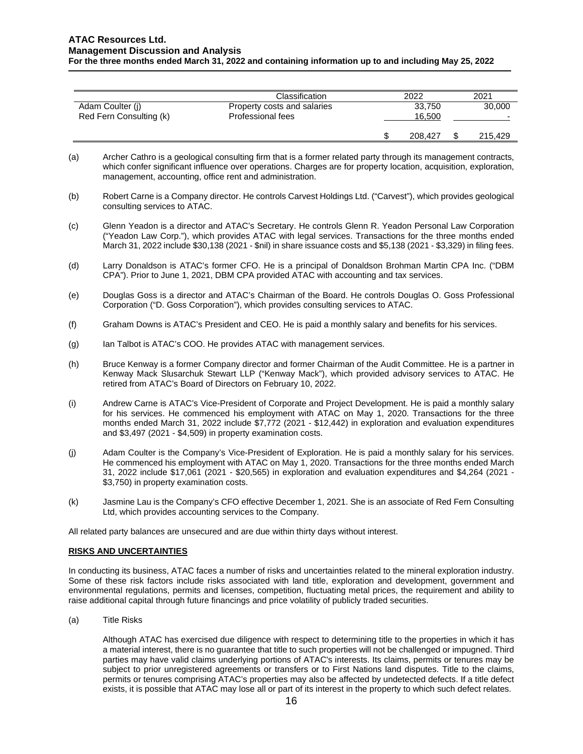|                         | Classification              |        | 2022    |  | 2021                     |
|-------------------------|-----------------------------|--------|---------|--|--------------------------|
| Adam Coulter (i)        | Property costs and salaries |        | 33,750  |  | 30,000                   |
| Red Fern Consulting (k) | Professional fees           | 16.500 |         |  | $\overline{\phantom{0}}$ |
|                         |                             |        | 208,427 |  | 215.429                  |

- (a) Archer Cathro is a geological consulting firm that is a former related party through its management contracts, which confer significant influence over operations. Charges are for property location, acquisition, exploration, management, accounting, office rent and administration.
- (b) Robert Carne is a Company director. He controls Carvest Holdings Ltd. ("Carvest"), which provides geological consulting services to ATAC.
- (c) Glenn Yeadon is a director and ATAC's Secretary. He controls Glenn R. Yeadon Personal Law Corporation ("Yeadon Law Corp."), which provides ATAC with legal services. Transactions for the three months ended March 31, 2022 include \$30,138 (2021 - \$nil) in share issuance costs and \$5,138 (2021 - \$3,329) in filing fees.
- (d) Larry Donaldson is ATAC's former CFO. He is a principal of Donaldson Brohman Martin CPA Inc. ("DBM CPA"). Prior to June 1, 2021, DBM CPA provided ATAC with accounting and tax services.
- (e) Douglas Goss is a director and ATAC's Chairman of the Board. He controls Douglas O. Goss Professional Corporation ("D. Goss Corporation"), which provides consulting services to ATAC.
- (f) Graham Downs is ATAC's President and CEO. He is paid a monthly salary and benefits for his services.
- (g) Ian Talbot is ATAC's COO. He provides ATAC with management services.
- (h) Bruce Kenway is a former Company director and former Chairman of the Audit Committee. He is a partner in Kenway Mack Slusarchuk Stewart LLP ("Kenway Mack"), which provided advisory services to ATAC. He retired from ATAC's Board of Directors on February 10, 2022.
- (i) Andrew Carne is ATAC's Vice-President of Corporate and Project Development. He is paid a monthly salary for his services. He commenced his employment with ATAC on May 1, 2020. Transactions for the three months ended March 31, 2022 include \$7,772 (2021 - \$12,442) in exploration and evaluation expenditures and \$3,497 (2021 - \$4,509) in property examination costs.
- (j) Adam Coulter is the Company's Vice-President of Exploration. He is paid a monthly salary for his services. He commenced his employment with ATAC on May 1, 2020. Transactions for the three months ended March 31, 2022 include \$17,061 (2021 - \$20,565) in exploration and evaluation expenditures and \$4,264 (2021 - \$3,750) in property examination costs.
- (k) Jasmine Lau is the Company's CFO effective December 1, 2021. She is an associate of Red Fern Consulting Ltd, which provides accounting services to the Company.

All related party balances are unsecured and are due within thirty days without interest.

## **RISKS AND UNCERTAINTIES**

In conducting its business, ATAC faces a number of risks and uncertainties related to the mineral exploration industry. Some of these risk factors include risks associated with land title, exploration and development, government and environmental regulations, permits and licenses, competition, fluctuating metal prices, the requirement and ability to raise additional capital through future financings and price volatility of publicly traded securities.

(a) Title Risks

Although ATAC has exercised due diligence with respect to determining title to the properties in which it has a material interest, there is no guarantee that title to such properties will not be challenged or impugned. Third parties may have valid claims underlying portions of ATAC's interests. Its claims, permits or tenures may be subject to prior unregistered agreements or transfers or to First Nations land disputes. Title to the claims, permits or tenures comprising ATAC's properties may also be affected by undetected defects. If a title defect exists, it is possible that ATAC may lose all or part of its interest in the property to which such defect relates.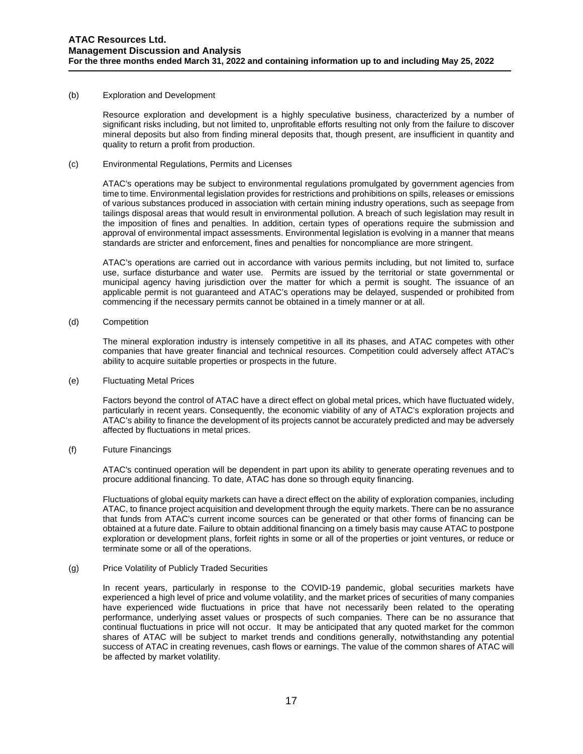### (b) Exploration and Development

Resource exploration and development is a highly speculative business, characterized by a number of significant risks including, but not limited to, unprofitable efforts resulting not only from the failure to discover mineral deposits but also from finding mineral deposits that, though present, are insufficient in quantity and quality to return a profit from production.

(c) Environmental Regulations, Permits and Licenses

ATAC's operations may be subject to environmental regulations promulgated by government agencies from time to time. Environmental legislation provides for restrictions and prohibitions on spills, releases or emissions of various substances produced in association with certain mining industry operations, such as seepage from tailings disposal areas that would result in environmental pollution. A breach of such legislation may result in the imposition of fines and penalties. In addition, certain types of operations require the submission and approval of environmental impact assessments. Environmental legislation is evolving in a manner that means standards are stricter and enforcement, fines and penalties for noncompliance are more stringent.

ATAC's operations are carried out in accordance with various permits including, but not limited to, surface use, surface disturbance and water use. Permits are issued by the territorial or state governmental or municipal agency having jurisdiction over the matter for which a permit is sought. The issuance of an applicable permit is not guaranteed and ATAC's operations may be delayed, suspended or prohibited from commencing if the necessary permits cannot be obtained in a timely manner or at all.

(d) Competition

The mineral exploration industry is intensely competitive in all its phases, and ATAC competes with other companies that have greater financial and technical resources. Competition could adversely affect ATAC's ability to acquire suitable properties or prospects in the future.

(e) Fluctuating Metal Prices

Factors beyond the control of ATAC have a direct effect on global metal prices, which have fluctuated widely, particularly in recent years. Consequently, the economic viability of any of ATAC's exploration projects and ATAC's ability to finance the development of its projects cannot be accurately predicted and may be adversely affected by fluctuations in metal prices.

(f) Future Financings

ATAC's continued operation will be dependent in part upon its ability to generate operating revenues and to procure additional financing. To date, ATAC has done so through equity financing.

Fluctuations of global equity markets can have a direct effect on the ability of exploration companies, including ATAC, to finance project acquisition and development through the equity markets. There can be no assurance that funds from ATAC's current income sources can be generated or that other forms of financing can be obtained at a future date. Failure to obtain additional financing on a timely basis may cause ATAC to postpone exploration or development plans, forfeit rights in some or all of the properties or joint ventures, or reduce or terminate some or all of the operations.

## (g) Price Volatility of Publicly Traded Securities

In recent years, particularly in response to the COVID-19 pandemic, global securities markets have experienced a high level of price and volume volatility, and the market prices of securities of many companies have experienced wide fluctuations in price that have not necessarily been related to the operating performance, underlying asset values or prospects of such companies. There can be no assurance that continual fluctuations in price will not occur. It may be anticipated that any quoted market for the common shares of ATAC will be subject to market trends and conditions generally, notwithstanding any potential success of ATAC in creating revenues, cash flows or earnings. The value of the common shares of ATAC will be affected by market volatility.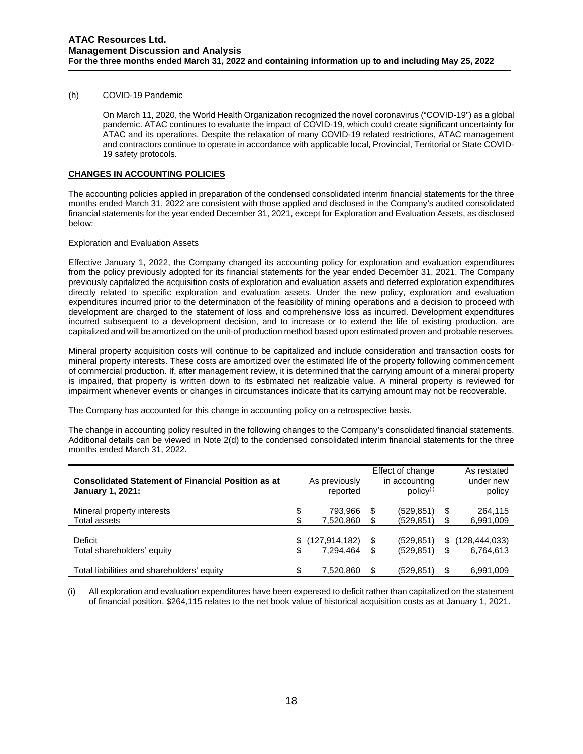## (h) COVID-19 Pandemic

On March 11, 2020, the World Health Organization recognized the novel coronavirus ("COVID-19") as a global pandemic. ATAC continues to evaluate the impact of COVID-19, which could create significant uncertainty for ATAC and its operations. Despite the relaxation of many COVID-19 related restrictions, ATAC management and contractors continue to operate in accordance with applicable local, Provincial, Territorial or State COVID-19 safety protocols.

## **CHANGES IN ACCOUNTING POLICIES**

The accounting policies applied in preparation of the condensed consolidated interim financial statements for the three months ended March 31, 2022 are consistent with those applied and disclosed in the Company's audited consolidated financial statements for the year ended December 31, 2021, except for Exploration and Evaluation Assets, as disclosed below:

# Exploration and Evaluation Assets

Effective January 1, 2022, the Company changed its accounting policy for exploration and evaluation expenditures from the policy previously adopted for its financial statements for the year ended December 31, 2021. The Company previously capitalized the acquisition costs of exploration and evaluation assets and deferred exploration expenditures directly related to specific exploration and evaluation assets. Under the new policy, exploration and evaluation expenditures incurred prior to the determination of the feasibility of mining operations and a decision to proceed with development are charged to the statement of loss and comprehensive loss as incurred. Development expenditures incurred subsequent to a development decision, and to increase or to extend the life of existing production, are capitalized and will be amortized on the unit-of production method based upon estimated proven and probable reserves.

Mineral property acquisition costs will continue to be capitalized and include consideration and transaction costs for mineral property interests. These costs are amortized over the estimated life of the property following commencement of commercial production. If, after management review, it is determined that the carrying amount of a mineral property is impaired, that property is written down to its estimated net realizable value. A mineral property is reviewed for impairment whenever events or changes in circumstances indicate that its carrying amount may not be recoverable.

The Company has accounted for this change in accounting policy on a retrospective basis.

The change in accounting policy resulted in the following changes to the Company's consolidated financial statements. Additional details can be viewed in Note 2(d) to the condensed consolidated interim financial statements for the three months ended March 31, 2022.

| <b>Consolidated Statement of Financial Position as at</b><br><b>January 1, 2021:</b> | As previously<br>reported |    | Effect of change<br>in accounting<br>$policy^{(i)}$ |    | As restated<br>under new<br>policy |
|--------------------------------------------------------------------------------------|---------------------------|----|-----------------------------------------------------|----|------------------------------------|
| Mineral property interests                                                           | \$<br>793,966             | S  | (529, 851)                                          | \$ | 264,115                            |
| Total assets                                                                         | \$<br>7,520,860           |    | (529, 851)                                          | \$ | 6,991,009                          |
| Deficit                                                                              | \$<br>(127, 914, 182)     | \$ | (529, 851)                                          | S  | (128, 444, 033)                    |
| Total shareholders' equity                                                           | 7.294.464                 | \$ | (529, 851)                                          | \$ | 6,764,613                          |
| Total liabilities and shareholders' equity                                           | \$<br>7,520,860           |    | (529,851)                                           | \$ | 6,991,009                          |

(i) All exploration and evaluation expenditures have been expensed to deficit rather than capitalized on the statement of financial position. \$264,115 relates to the net book value of historical acquisition costs as at January 1, 2021.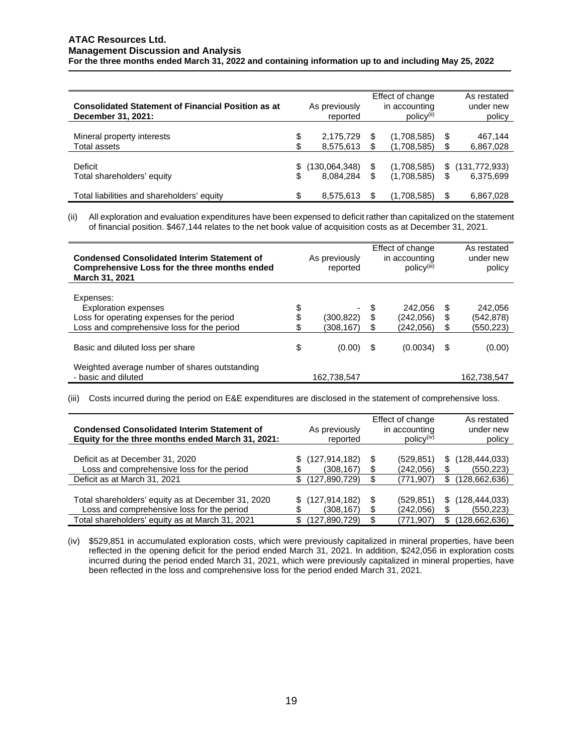| <b>Consolidated Statement of Financial Position as at</b><br>December 31, 2021: |          | As previously<br>reported  | Effect of change<br>in accounting<br>$policy^{(ii)}$ |           | As restated<br>under new<br>policy |
|---------------------------------------------------------------------------------|----------|----------------------------|------------------------------------------------------|-----------|------------------------------------|
| Mineral property interests<br>Total assets                                      | \$<br>\$ | 2,175,729<br>8,575,613     | (1,708,585)<br>(1,708,585)                           | \$.       | 467,144<br>6,867,028               |
| Deficit<br>Total shareholders' equity                                           | \$.      | (130,064,348)<br>8,084,284 | \$<br>(1,708,585)<br>(1,708,585)                     | \$<br>\$. | (131, 772, 933)<br>6,375,699       |
| Total liabilities and shareholders' equity                                      | \$       | 8,575,613                  | (1,708,585)                                          | \$.       | 6,867,028                          |

(ii) All exploration and evaluation expenditures have been expensed to deficit rather than capitalized on the statement of financial position. \$467,144 relates to the net book value of acquisition costs as at December 31, 2021.

| <b>Condensed Consolidated Interim Statement of</b><br>Comprehensive Loss for the three months ended<br>March 31, 2021                |                | As previously<br>reported                          |             | Effect of change<br>in accounting<br>$policy^{(iii)}$ |             | As restated<br>under new<br>policy |
|--------------------------------------------------------------------------------------------------------------------------------------|----------------|----------------------------------------------------|-------------|-------------------------------------------------------|-------------|------------------------------------|
| Expenses:<br><b>Exploration expenses</b><br>Loss for operating expenses for the period<br>Loss and comprehensive loss for the period | \$<br>\$<br>\$ | $\overline{\phantom{a}}$<br>(300,822)<br>(308.167) | - \$<br>\$. | 242,056<br>(242.056)<br>(242,056)                     | S<br>S<br>S | 242,056<br>(542,878)<br>(550,223)  |
| Basic and diluted loss per share                                                                                                     | \$             | (0.00)                                             |             | (0.0034)                                              | S           | (0.00)                             |
| Weighted average number of shares outstanding<br>- basic and diluted                                                                 |                | 162,738,547                                        |             |                                                       |             | 162.738.547                        |

(iii) Costs incurred during the period on E&E expenditures are disclosed in the statement of comprehensive loss.

| <b>Condensed Consolidated Interim Statement of</b><br>Equity for the three months ended March 31, 2021:                                             | As previously<br>reported                          | Effect of change<br>in accounting<br>$policy^{(iv)}$ | As restated<br>under new<br>policy                        |
|-----------------------------------------------------------------------------------------------------------------------------------------------------|----------------------------------------------------|------------------------------------------------------|-----------------------------------------------------------|
| Deficit as at December 31, 2020<br>Loss and comprehensive loss for the period                                                                       | (127, 914, 182)<br>(308, 167)                      | (529.851)<br>(242,056)                               | (128, 444, 033)<br>\$<br>(550, 223)<br>\$                 |
| Deficit as at March 31, 2021                                                                                                                        | (127,890,729)                                      | (771,907)                                            | (128,662,636)<br>S                                        |
| Total shareholders' equity as at December 31, 2020<br>Loss and comprehensive loss for the period<br>Total shareholders' equity as at March 31, 2021 | (127, 914, 182)<br>S<br>(308,167)<br>(127,890,729) | (529, 851)<br>S<br>(242,056)<br>(771,907)            | (128, 444, 033)<br>S.<br>(550, 223)<br>(128,662,636)<br>S |

(iv) \$529,851 in accumulated exploration costs, which were previously capitalized in mineral properties, have been reflected in the opening deficit for the period ended March 31, 2021. In addition, \$242,056 in exploration costs incurred during the period ended March 31, 2021, which were previously capitalized in mineral properties, have been reflected in the loss and comprehensive loss for the period ended March 31, 2021.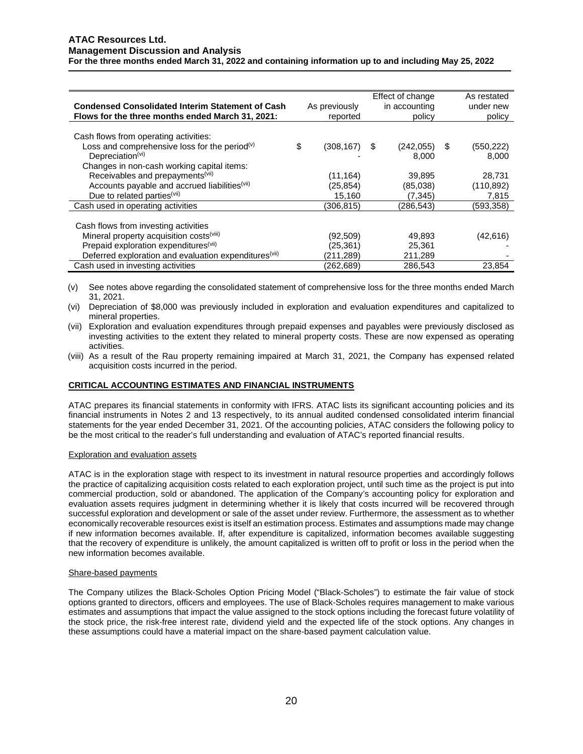|                                                                   |          |               |        | Effect of change |   | As restated |
|-------------------------------------------------------------------|----------|---------------|--------|------------------|---|-------------|
| <b>Condensed Consolidated Interim Statement of Cash</b>           |          | As previously |        | in accounting    |   | under new   |
| Flows for the three months ended March 31, 2021:                  | reported |               | policy |                  |   | policy      |
|                                                                   |          |               |        |                  |   |             |
| Cash flows from operating activities:                             |          |               |        |                  |   |             |
| Loss and comprehensive loss for the period <sup>(v)</sup>         | \$       | (308, 167)    | S      | (242, 055)       | S | (550, 222)  |
| Depreciation $(vi)$                                               |          |               |        | 8.000            |   | 8,000       |
| Changes in non-cash working capital items:                        |          |               |        |                  |   |             |
| Receivables and prepayments <sup>(vii)</sup>                      |          | (11, 164)     |        | 39,895           |   | 28,731      |
| Accounts payable and accrued liabilities(vii)                     |          | (25, 854)     |        | (85,038)         |   | (110, 892)  |
| Due to related parties <sup>(vii)</sup>                           |          | 15,160        |        | (7, 345)         |   | 7,815       |
| Cash used in operating activities                                 |          | (306,815)     |        | (286,543)        |   | (593,358)   |
|                                                                   |          |               |        |                  |   |             |
| Cash flows from investing activities                              |          |               |        |                  |   |             |
| Mineral property acquisition costs <sup>(viii)</sup>              |          | (92, 509)     |        | 49,893           |   | (42,616)    |
| Prepaid exploration expenditures <sup>(vii)</sup>                 |          | (25,361)      |        | 25,361           |   |             |
| Deferred exploration and evaluation expenditures <sup>(vii)</sup> |          | (211,289)     |        | 211,289          |   |             |
| Cash used in investing activities                                 |          | (262,689)     |        | 286,543          |   | 23,854      |

(v) See notes above regarding the consolidated statement of comprehensive loss for the three months ended March 31, 2021.

- (vi) Depreciation of \$8,000 was previously included in exploration and evaluation expenditures and capitalized to mineral properties.
- (vii) Exploration and evaluation expenditures through prepaid expenses and payables were previously disclosed as investing activities to the extent they related to mineral property costs. These are now expensed as operating activities.
- (viii) As a result of the Rau property remaining impaired at March 31, 2021, the Company has expensed related acquisition costs incurred in the period.

## **CRITICAL ACCOUNTING ESTIMATES AND FINANCIAL INSTRUMENTS**

ATAC prepares its financial statements in conformity with IFRS. ATAC lists its significant accounting policies and its financial instruments in Notes 2 and 13 respectively, to its annual audited condensed consolidated interim financial statements for the year ended December 31, 2021. Of the accounting policies, ATAC considers the following policy to be the most critical to the reader's full understanding and evaluation of ATAC's reported financial results.

### Exploration and evaluation assets

ATAC is in the exploration stage with respect to its investment in natural resource properties and accordingly follows the practice of capitalizing acquisition costs related to each exploration project, until such time as the project is put into commercial production, sold or abandoned. The application of the Company's accounting policy for exploration and evaluation assets requires judgment in determining whether it is likely that costs incurred will be recovered through successful exploration and development or sale of the asset under review. Furthermore, the assessment as to whether economically recoverable resources exist is itself an estimation process. Estimates and assumptions made may change if new information becomes available. If, after expenditure is capitalized, information becomes available suggesting that the recovery of expenditure is unlikely, the amount capitalized is written off to profit or loss in the period when the new information becomes available.

### Share-based payments

The Company utilizes the Black-Scholes Option Pricing Model ("Black-Scholes") to estimate the fair value of stock options granted to directors, officers and employees. The use of Black-Scholes requires management to make various estimates and assumptions that impact the value assigned to the stock options including the forecast future volatility of the stock price, the risk-free interest rate, dividend yield and the expected life of the stock options. Any changes in these assumptions could have a material impact on the share-based payment calculation value.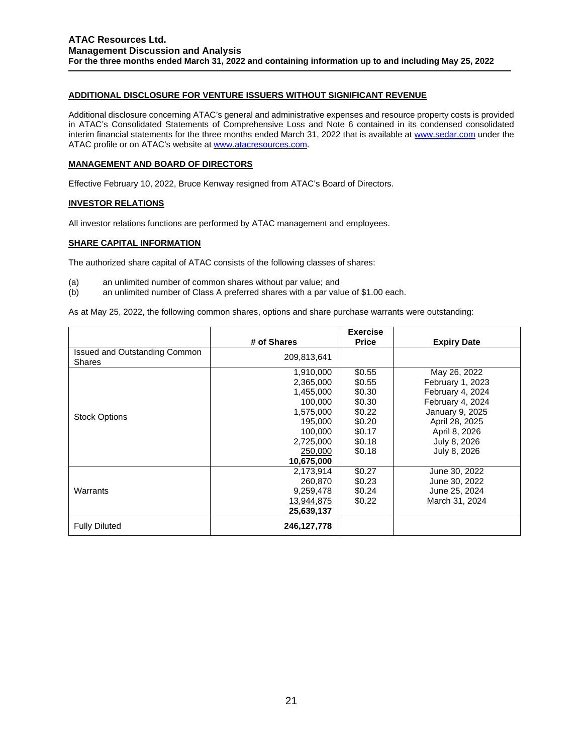# **ADDITIONAL DISCLOSURE FOR VENTURE ISSUERS WITHOUT SIGNIFICANT REVENUE**

Additional disclosure concerning ATAC's general and administrative expenses and resource property costs is provided in ATAC's Consolidated Statements of Comprehensive Loss and Note 6 contained in its condensed consolidated interim financial statements for the three months ended March 31, 2022 that is available at [www.sedar.com](http://www.sedar.com/) under the ATAC profile or on ATAC's website a[t www.atacresources.com.](http://www.atacresources.com/)

## **MANAGEMENT AND BOARD OF DIRECTORS**

Effective February 10, 2022, Bruce Kenway resigned from ATAC's Board of Directors.

# **INVESTOR RELATIONS**

All investor relations functions are performed by ATAC management and employees.

# **SHARE CAPITAL INFORMATION**

The authorized share capital of ATAC consists of the following classes of shares:

- (a) an unlimited number of common shares without par value; and<br>(b) an unlimited number of Class A preferred shares with a par valu
- an unlimited number of Class A preferred shares with a par value of \$1.00 each.

As at May 25, 2022, the following common shares, options and share purchase warrants were outstanding:

|                                                |                                                                                                                         | <b>Exercise</b>                                                                        |                                                                                                                                                                |
|------------------------------------------------|-------------------------------------------------------------------------------------------------------------------------|----------------------------------------------------------------------------------------|----------------------------------------------------------------------------------------------------------------------------------------------------------------|
|                                                | # of Shares                                                                                                             | <b>Price</b>                                                                           | <b>Expiry Date</b>                                                                                                                                             |
| Issued and Outstanding Common<br><b>Shares</b> | 209,813,641                                                                                                             |                                                                                        |                                                                                                                                                                |
| <b>Stock Options</b>                           | 1,910,000<br>2,365,000<br>1,455,000<br>100,000<br>1,575,000<br>195,000<br>100,000<br>2,725,000<br>250,000<br>10,675,000 | \$0.55<br>\$0.55<br>\$0.30<br>\$0.30<br>\$0.22<br>\$0.20<br>\$0.17<br>\$0.18<br>\$0.18 | May 26, 2022<br>February 1, 2023<br>February 4, 2024<br>February 4, 2024<br>January 9, 2025<br>April 28, 2025<br>April 8, 2026<br>July 8, 2026<br>July 8, 2026 |
| Warrants                                       | 2,173,914<br>260,870<br>9,259,478<br>13,944,875<br>25,639,137                                                           | \$0.27<br>\$0.23<br>\$0.24<br>\$0.22                                                   | June 30, 2022<br>June 30, 2022<br>June 25, 2024<br>March 31, 2024                                                                                              |
| <b>Fully Diluted</b>                           | 246,127,778                                                                                                             |                                                                                        |                                                                                                                                                                |